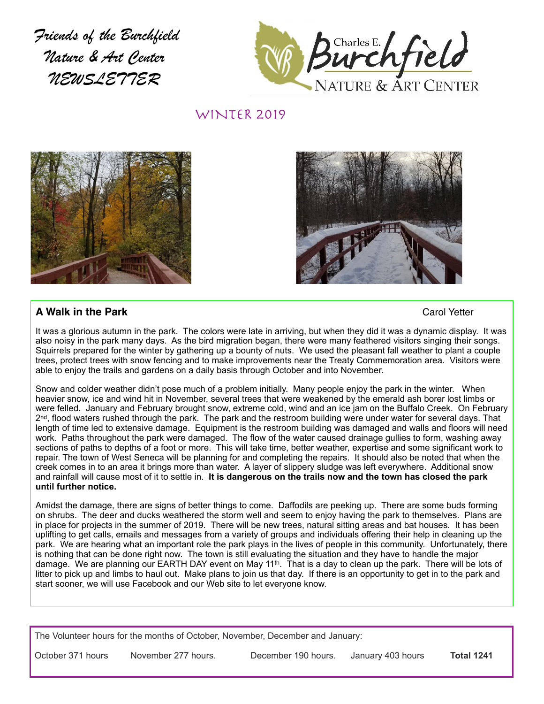*Friends of the Burchfield Nature & Art Center NEWSLETTER*



WINTER 2019





# **A Walk in the Park** Carol Yetter

It was a glorious autumn in the park. The colors were late in arriving, but when they did it was a dynamic display. It was also noisy in the park many days. As the bird migration began, there were many feathered visitors singing their songs. Squirrels prepared for the winter by gathering up a bounty of nuts. We used the pleasant fall weather to plant a couple trees, protect trees with snow fencing and to make improvements near the Treaty Commemoration area. Visitors were able to enjoy the trails and gardens on a daily basis through October and into November.

Snow and colder weather didn't pose much of a problem initially. Many people enjoy the park in the winter. When heavier snow, ice and wind hit in November, several trees that were weakened by the emerald ash borer lost limbs or were felled. January and February brought snow, extreme cold, wind and an ice jam on the Buffalo Creek. On February 2<sup>nd</sup>, flood waters rushed through the park. The park and the restroom building were under water for several days. That length of time led to extensive damage. Equipment is the restroom building was damaged and walls and floors will need work. Paths throughout the park were damaged. The flow of the water caused drainage gullies to form, washing away sections of paths to depths of a foot or more. This will take time, better weather, expertise and some significant work to repair. The town of West Seneca will be planning for and completing the repairs. It should also be noted that when the creek comes in to an area it brings more than water. A layer of slippery sludge was left everywhere. Additional snow and rainfall will cause most of it to settle in. **It is dangerous on the trails now and the town has closed the park until further notice.** 

Amidst the damage, there are signs of better things to come. Daffodils are peeking up. There are some buds forming on shrubs. The deer and ducks weathered the storm well and seem to enjoy having the park to themselves. Plans are in place for projects in the summer of 2019. There will be new trees, natural sitting areas and bat houses. It has been uplifting to get calls, emails and messages from a variety of groups and individuals offering their help in cleaning up the park. We are hearing what an important role the park plays in the lives of people in this community. Unfortunately, there is nothing that can be done right now. The town is still evaluating the situation and they have to handle the major damage. We are planning our EARTH DAY event on May 11th. That is a day to clean up the park. There will be lots of litter to pick up and limbs to haul out. Make plans to join us that day. If there is an opportunity to get in to the park and start sooner, we will use Facebook and our Web site to let everyone know.

The Volunteer hours for the months of October, November, December and January:

October 371 hours November 277 hours. December 190 hours. January 403 hours **Total 1241**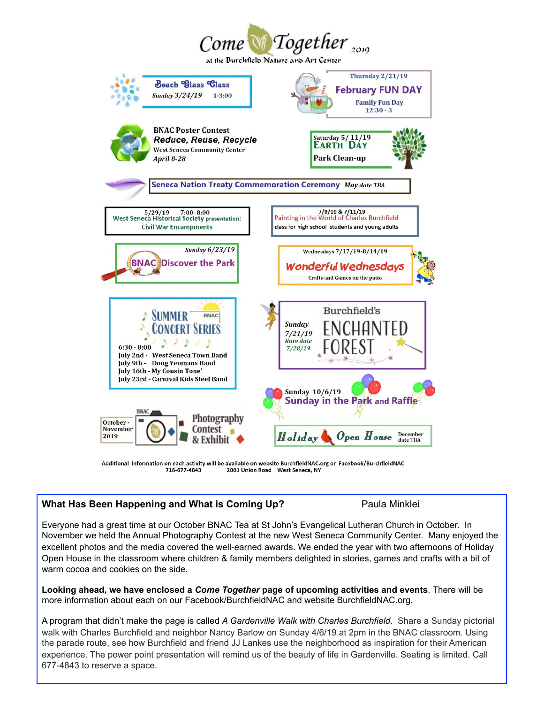

Additional information on each activity will be available on website BurchfieldNAC.org or Facebook/BurchfieldNAC 2001 Union Road West Seneca, NY 716-677-4843

# **What Has Been Happening and What is Coming Up?** Paula Minklei

Everyone had a great time at our October BNAC Tea at St John's Evangelical Lutheran Church in October. In November we held the Annual Photography Contest at the new West Seneca Community Center. Many enjoyed the excellent photos and the media covered the well-earned awards. We ended the year with two afternoons of Holiday Open House in the classroom where children & family members delighted in stories, games and crafts with a bit of warm cocoa and cookies on the side.

**Looking ahead, we have enclosed a** *Come Together* **page of upcoming activities and events**. There will be more information about each on our Facebook/BurchfieldNAC and website BurchfieldNAC.org.

A program that didn't make the page is called *A Gardenville Walk with Charles Burchfield*. Share a Sunday pictorial walk with Charles Burchfield and neighbor Nancy Barlow on Sunday 4/6/19 at 2pm in the BNAC classroom. Using the parade route, see how Burchfield and friend JJ Lankes use the neighborhood as inspiration for their American experience. The power point presentation will remind us of the beauty of life in Gardenville. Seating is limited. Call 677-4843 to reserve a space.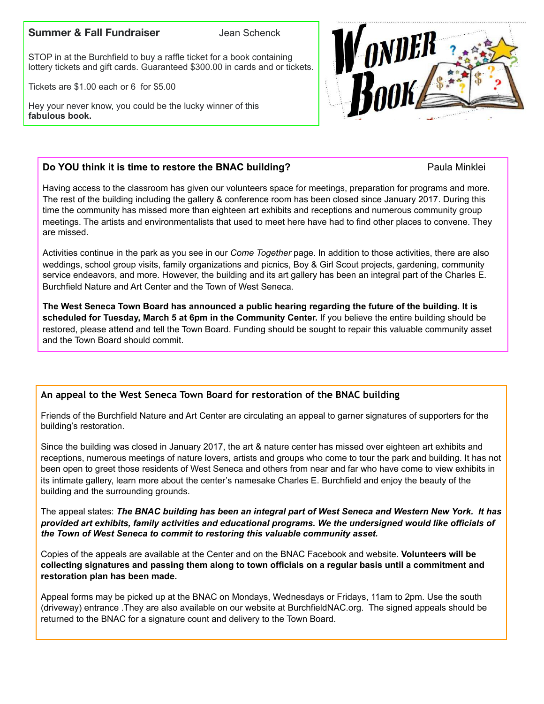### **Summer & Fall Fundraiser Jean Schenck**

STOP in at the Burchfield to buy a raffle ticket for a book containing lottery tickets and gift cards. Guaranteed \$300.00 in cards and or tickets.

Tickets are \$1.00 each or 6 for \$5.00

Hey your never know, you could be the lucky winner of this **fabulous book.** 



## **Do YOU think it is time to restore the BNAC building?** Paula Minklei

Having access to the classroom has given our volunteers space for meetings, preparation for programs and more. The rest of the building including the gallery & conference room has been closed since January 2017. During this time the community has missed more than eighteen art exhibits and receptions and numerous community group meetings. The artists and environmentalists that used to meet here have had to find other places to convene. They are missed.

Activities continue in the park as you see in our *Come Together* page. In addition to those activities, there are also weddings, school group visits, family organizations and picnics, Boy & Girl Scout projects, gardening, community service endeavors, and more. However, the building and its art gallery has been an integral part of the Charles E. Burchfield Nature and Art Center and the Town of West Seneca.

**The West Seneca Town Board has announced a public hearing regarding the future of the building. It is scheduled for Tuesday, March 5 at 6pm in the Community Center.** If you believe the entire building should be restored, please attend and tell the Town Board. Funding should be sought to repair this valuable community asset and the Town Board should commit.

## **An appeal to the West Seneca Town Board for restoration of the BNAC building**

Friends of the Burchfield Nature and Art Center are circulating an appeal to garner signatures of supporters for the building's restoration.

Since the building was closed in January 2017, the art & nature center has missed over eighteen art exhibits and receptions, numerous meetings of nature lovers, artists and groups who come to tour the park and building. It has not been open to greet those residents of West Seneca and others from near and far who have come to view exhibits in its intimate gallery, learn more about the center's namesake Charles E. Burchfield and enjoy the beauty of the building and the surrounding grounds.

The appeal states: *The BNAC building has been an integral part of West Seneca and Western New York. It has provided art exhibits, family activities and educational programs. We the undersigned would like officials of the Town of West Seneca to commit to restoring this valuable community asset.* 

Copies of the appeals are available at the Center and on the BNAC Facebook and website. **Volunteers will be collecting signatures and passing them along to town officials on a regular basis until a commitment and restoration plan has been made.**

Appeal forms may be picked up at the BNAC on Mondays, Wednesdays or Fridays, 11am to 2pm. Use the south (driveway) entrance .They are also available on our website at BurchfieldNAC.org. The signed appeals should be returned to the BNAC for a signature count and delivery to the Town Board.